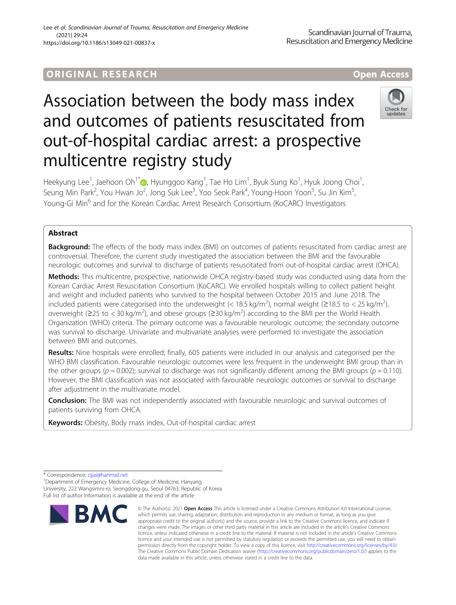# ORIGINA L R E S EA RCH Open Access



# Association between the body mass index and outcomes of patients resuscitated from out-of-hospital cardiac arrest: a prospective multicentre registry study

Heekyung Lee<sup>1</sup>, Jaehoon Oh<sup>1[\\*](http://orcid.org/0000-0001-8055-1467)</sup>@, Hyunggoo Kang<sup>1</sup>, Tae Ho Lim<sup>1</sup>, Byuk Sung Ko<sup>1</sup>, Hyuk Joong Choi<sup>1</sup> , Seung Min Park<sup>2</sup>, You Hwan Jo<sup>2</sup>, Jong Suk Lee<sup>3</sup>, Yoo Seok Park<sup>4</sup>, Young-Hoon Yoon<sup>5</sup>, Su Jin Kim<sup>5</sup> , Young-Gi Min<sup>6</sup> and for the Korean Cardiac Arrest Research Consortium (KoCARC) Investigators

# Abstract

**Background:** The effects of the body mass index (BMI) on outcomes of patients resuscitated from cardiac arrest are controversial. Therefore, the current study investigated the association between the BMI and the favourable neurologic outcomes and survival to discharge of patients resuscitated from out-of-hospital cardiac arrest (OHCA).

Methods: This multicentre, prospective, nationwide OHCA registry-based study was conducted using data from the Korean Cardiac Arrest Resuscitation Consortium (KoCARC). We enrolled hospitals willing to collect patient height and weight and included patients who survived to the hospital between October 2015 and June 2018. The included patients were categorised into the underweight (< 18.5 kg/m<sup>2</sup>), normal weight (≥18.5 to < 25 kg/m<sup>2</sup>), overweight (225 to < 30 kg/m<sup>2</sup>), and obese groups (230 kg/m<sup>2</sup>) according to the BMI per the World Health Organization (WHO) criteria. The primary outcome was a favourable neurologic outcome; the secondary outcome was survival to discharge. Univariate and multivariate analyses were performed to investigate the association between BMI and outcomes.

Results: Nine hospitals were enrolled; finally, 605 patients were included in our analysis and categorised per the WHO BMI classification. Favourable neurologic outcomes were less frequent in the underweight BMI group than in the other groups ( $p = 0.002$ ); survival to discharge was not significantly different among the BMI groups ( $p = 0.110$ ). However, the BMI classification was not associated with favourable neurologic outcomes or survival to discharge after adjustment in the multivariate model.

**Conclusion:** The BMI was not independently associated with favourable neurologic and survival outcomes of patients surviving from OHCA.

Keywords: Obesity, Body mass index, Out-of-hospital cardiac arrest

<sup>&</sup>lt;sup>1</sup> Department of Emergency Medicine, College of Medicine, Hanyang University, 222 Wangsimni-ro, Seongdong-gu, Seoul 04763, Republic of Korea Full list of author information is available at the end of the article



<sup>©</sup> The Author(s), 2021 **Open Access** This article is licensed under a Creative Commons Attribution 4.0 International License, which permits use, sharing, adaptation, distribution and reproduction in any medium or format, as long as you give appropriate credit to the original author(s) and the source, provide a link to the Creative Commons licence, and indicate if changes were made. The images or other third party material in this article are included in the article's Creative Commons licence, unless indicated otherwise in a credit line to the material. If material is not included in the article's Creative Commons licence and your intended use is not permitted by statutory regulation or exceeds the permitted use, you will need to obtain permission directly from the copyright holder. To view a copy of this licence, visit [http://creativecommons.org/licenses/by/4.0/.](http://creativecommons.org/licenses/by/4.0/) The Creative Commons Public Domain Dedication waiver [\(http://creativecommons.org/publicdomain/zero/1.0/](http://creativecommons.org/publicdomain/zero/1.0/)) applies to the data made available in this article, unless otherwise stated in a credit line to the data.

<sup>\*</sup> Correspondence: [ojjai@hanmail.net](mailto:ojjai@hanmail.net) <sup>1</sup>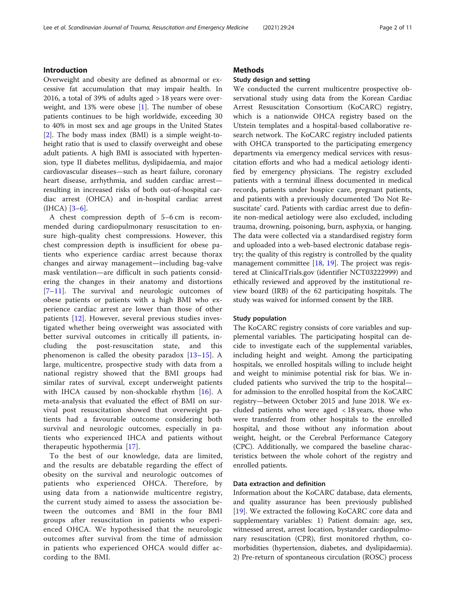# Introduction

Overweight and obesity are defined as abnormal or excessive fat accumulation that may impair health. In 2016, a total of 39% of adults aged > 18 years were overweight, and 13% were obese [\[1](#page-9-0)]. The number of obese patients continues to be high worldwide, exceeding 30 to 40% in most sex and age groups in the United States [[2\]](#page-9-0). The body mass index (BMI) is a simple weight-toheight ratio that is used to classify overweight and obese adult patients. A high BMI is associated with hypertension, type II diabetes mellitus, dyslipidaemia, and major cardiovascular diseases—such as heart failure, coronary heart disease, arrhythmia, and sudden cardiac arrest resulting in increased risks of both out-of-hospital cardiac arrest (OHCA) and in-hospital cardiac arrest (IHCA) [[3](#page-9-0)–[6](#page-10-0)].

A chest compression depth of 5–6 cm is recommended during cardiopulmonary resuscitation to ensure high-quality chest compressions. However, this chest compression depth is insufficient for obese patients who experience cardiac arrest because thorax changes and airway management—including bag-valve mask ventilation—are difficult in such patients considering the changes in their anatomy and distortions [[7](#page-10-0)–[11\]](#page-10-0). The survival and neurologic outcomes of obese patients or patients with a high BMI who experience cardiac arrest are lower than those of other patients [\[12](#page-10-0)]. However, several previous studies investigated whether being overweight was associated with better survival outcomes in critically ill patients, including the post-resuscitation state, and this phenomenon is called the obesity paradox [[13](#page-10-0)–[15\]](#page-10-0). A large, multicentre, prospective study with data from a national registry showed that the BMI groups had similar rates of survival, except underweight patients with IHCA caused by non-shockable rhythm [[16\]](#page-10-0). A meta-analysis that evaluated the effect of BMI on survival post resuscitation showed that overweight patients had a favourable outcome considering both survival and neurologic outcomes, especially in patients who experienced IHCA and patients without therapeutic hypothermia [[17\]](#page-10-0).

To the best of our knowledge, data are limited, and the results are debatable regarding the effect of obesity on the survival and neurologic outcomes of patients who experienced OHCA. Therefore, by using data from a nationwide multicentre registry, the current study aimed to assess the association between the outcomes and BMI in the four BMI groups after resuscitation in patients who experienced OHCA. We hypothesised that the neurologic outcomes after survival from the time of admission in patients who experienced OHCA would differ according to the BMI.

# **Methods**

# Study design and setting

We conducted the current multicentre prospective observational study using data from the Korean Cardiac Arrest Resuscitation Consortium (KoCARC) registry, which is a nationwide OHCA registry based on the Utstein templates and a hospital-based collaborative research network. The KoCARC registry included patients with OHCA transported to the participating emergency departments via emergency medical services with resuscitation efforts and who had a medical aetiology identified by emergency physicians. The registry excluded patients with a terminal illness documented in medical records, patients under hospice care, pregnant patients, and patients with a previously documented 'Do Not Resuscitate' card. Patients with cardiac arrest due to definite non-medical aetiology were also excluded, including trauma, drowning, poisoning, burn, asphyxia, or hanging. The data were collected via a standardised registry form and uploaded into a web-based electronic database registry; the quality of this registry is controlled by the quality management committee  $[18, 19]$  $[18, 19]$  $[18, 19]$ . The project was registered at ClinicalTrials.gov (identifier NCT03222999) and ethically reviewed and approved by the institutional review board (IRB) of the 62 participating hospitals. The study was waived for informed consent by the IRB.

# Study population

The KoCARC registry consists of core variables and supplemental variables. The participating hospital can decide to investigate each of the supplemental variables, including height and weight. Among the participating hospitals, we enrolled hospitals willing to include height and weight to minimise potential risk for bias. We included patients who survived the trip to the hospital for admission to the enrolled hospital from the KoCARC registry—between October 2015 and June 2018. We excluded patients who were aged < 18 years, those who were transferred from other hospitals to the enrolled hospital, and those without any information about weight, height, or the Cerebral Performance Category (CPC). Additionally, we compared the baseline characteristics between the whole cohort of the registry and enrolled patients.

# Data extraction and definition

Information about the KoCARC database, data elements, and quality assurance has been previously published [[19\]](#page-10-0). We extracted the following KoCARC core data and supplementary variables: 1) Patient domain: age, sex, witnessed arrest, arrest location, bystander cardiopulmonary resuscitation (CPR), first monitored rhythm, comorbidities (hypertension, diabetes, and dyslipidaemia). 2) Pre-return of spontaneous circulation (ROSC) process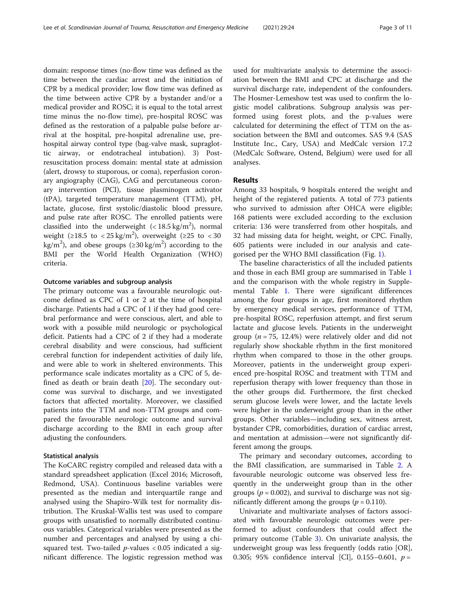domain: response times (no-flow time was defined as the time between the cardiac arrest and the initiation of CPR by a medical provider; low flow time was defined as the time between active CPR by a bystander and/or a medical provider and ROSC; it is equal to the total arrest time minus the no-flow time), pre-hospital ROSC was defined as the restoration of a palpable pulse before arrival at the hospital, pre-hospital adrenaline use, prehospital airway control type (bag-valve mask, supraglottic airway, or endotracheal intubation). 3) Postresuscitation process domain: mental state at admission (alert, drowsy to stuporous, or coma), reperfusion coronary angiography (CAG), CAG and percutaneous coronary intervention (PCI), tissue plasminogen activator (tPA), targeted temperature management (TTM), pH, lactate, glucose, first systolic/diastolic blood pressure, and pulse rate after ROSC. The enrolled patients were classified into the underweight  $(< 18.5 \text{ kg/m}^2)$ , normal weight ( $\geq$ 18.5 to < 25 kg/m<sup>2</sup>), overweight ( $\geq$ 25 to < 30 kg/m<sup>2</sup>), and obese groups (≥30 kg/m<sup>2</sup>) according to the BMI per the World Health Organization (WHO) criteria.

# Outcome variables and subgroup analysis

The primary outcome was a favourable neurologic outcome defined as CPC of 1 or 2 at the time of hospital discharge. Patients had a CPC of 1 if they had good cerebral performance and were conscious, alert, and able to work with a possible mild neurologic or psychological deficit. Patients had a CPC of 2 if they had a moderate cerebral disability and were conscious, had sufficient cerebral function for independent activities of daily life, and were able to work in sheltered environments. This performance scale indicates mortality as a CPC of 5, defined as death or brain death [[20](#page-10-0)]. The secondary outcome was survival to discharge, and we investigated factors that affected mortality. Moreover, we classified patients into the TTM and non-TTM groups and compared the favourable neurologic outcome and survival discharge according to the BMI in each group after adjusting the confounders.

#### Statistical analysis

The KoCARC registry compiled and released data with a standard spreadsheet application (Excel 2016; Microsoft, Redmond, USA). Continuous baseline variables were presented as the median and interquartile range and analysed using the Shapiro-Wilk test for normality distribution. The Kruskal-Wallis test was used to compare groups with unsatisfied to normally distributed continuous variables. Categorical variables were presented as the number and percentages and analysed by using a chisquared test. Two-tailed  $p$ -values < 0.05 indicated a significant difference. The logistic regression method was

used for multivariate analysis to determine the association between the BMI and CPC at discharge and the survival discharge rate, independent of the confounders. The Hosmer-Lemeshow test was used to confirm the logistic model calibrations. Subgroup analysis was performed using forest plots, and the p-values were calculated for determining the effect of TTM on the association between the BMI and outcomes. SAS 9.4 (SAS Institute Inc., Cary, USA) and MedCalc version 17.2 (MedCalc Software, Ostend, Belgium) were used for all analyses.

# Results

Among 33 hospitals, 9 hospitals entered the weight and height of the registered patients. A total of 773 patients who survived to admission after OHCA were eligible; 168 patients were excluded according to the exclusion criteria: 136 were transferred from other hospitals, and 32 had missing data for height, weight, or CPC. Finally, 605 patients were included in our analysis and categorised per the WHO BMI classification (Fig. [1\)](#page-3-0).

The baseline characteristics of all the included patients and those in each BMI group are summarised in Table [1](#page-4-0) and the comparison with the whole registry in Supplemental Table [1](#page-9-0). There were significant differences among the four groups in age, first monitored rhythm by emergency medical services, performance of TTM, pre-hospital ROSC, reperfusion attempt, and first serum lactate and glucose levels. Patients in the underweight group ( $n = 75$ , 12.4%) were relatively older and did not regularly show shockable rhythm in the first monitored rhythm when compared to those in the other groups. Moreover, patients in the underweight group experienced pre-hospital ROSC and treatment with TTM and reperfusion therapy with lower frequency than those in the other groups did. Furthermore, the first checked serum glucose levels were lower, and the lactate levels were higher in the underweight group than in the other groups. Other variables—including sex, witness arrest, bystander CPR, comorbidities, duration of cardiac arrest, and mentation at admission—were not significantly different among the groups.

The primary and secondary outcomes, according to the BMI classification, are summarised in Table [2](#page-5-0). A favourable neurologic outcome was observed less frequently in the underweight group than in the other groups ( $p = 0.002$ ), and survival to discharge was not significantly different among the groups ( $p = 0.110$ ).

Univariate and multivariate analyses of factors associated with favourable neurologic outcomes were performed to adjust confounders that could affect the primary outcome (Table [3](#page-6-0)). On univariate analysis, the underweight group was less frequently (odds ratio [OR], 0.305; 95% confidence interval [CI], 0.155–0.601, p =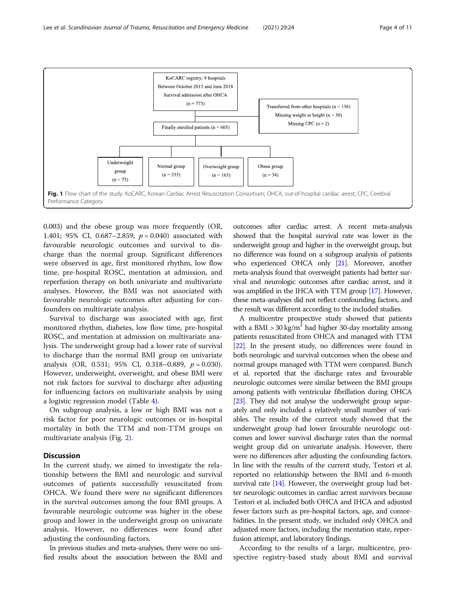<span id="page-3-0"></span>

0.003) and the obese group was more frequently (OR, 1.401; 95% CI, 0.687-2.859,  $p = 0.040$ ) associated with favourable neurologic outcomes and survival to discharge than the normal group. Significant differences were observed in age, first monitored rhythm, low flow time, pre-hospital ROSC, mentation at admission, and reperfusion therapy on both univariate and multivariate analyses. However, the BMI was not associated with favourable neurologic outcomes after adjusting for confounders on multivariate analysis.

Survival to discharge was associated with age, first monitored rhythm, diabetes, low flow time, pre-hospital ROSC, and mentation at admission on multivariate analysis. The underweight group had a lower rate of survival to discharge than the normal BMI group on univariate analysis (OR, 0.531; 95% CI, 0.318–0.889,  $p = 0.030$ ). However, underweight, overweight, and obese BMI were not risk factors for survival to discharge after adjusting for influencing factors on multivariate analysis by using a logistic regression model (Table [4\)](#page-7-0).

On subgroup analysis, a low or high BMI was not a risk factor for poor neurologic outcomes or in-hospital mortality in both the TTM and non-TTM groups on multivariate analysis (Fig. [2](#page-8-0)).

# **Discussion**

In the current study, we aimed to investigate the relationship between the BMI and neurologic and survival outcomes of patients successfully resuscitated from OHCA. We found there were no significant differences in the survival outcomes among the four BMI groups. A favourable neurologic outcome was higher in the obese group and lower in the underweight group on univariate analysis. However, no differences were found after adjusting the confounding factors.

In previous studies and meta-analyses, there were no unified results about the association between the BMI and outcomes after cardiac arrest. A recent meta-analysis showed that the hospital survival rate was lower in the underweight group and higher in the overweight group, but no difference was found on a subgroup analysis of patients who experienced OHCA only [\[21\]](#page-10-0). Moreover, another meta-analysis found that overweight patients had better survival and neurologic outcomes after cardiac arrest, and it was amplified in the IHCA with TTM group [[17](#page-10-0)]. However, these meta-analyses did not reflect confounding factors, and the result was different according to the included studies.

A multicentre prospective study showed that patients with a BMI  $>$  30 kg/m<sup>2</sup> had higher 30-day mortality among patients resuscitated from OHCA and managed with TTM [[22](#page-10-0)]. In the present study, no differences were found in both neurologic and survival outcomes when the obese and normal groups managed with TTM were compared. Bunch et al. reported that the discharge rates and favourable neurologic outcomes were similar between the BMI groups among patients with ventricular fibrillation during OHCA [[23](#page-10-0)]. They did not analyse the underweight group separately and only included a relatively small number of variables. The results of the current study showed that the underweight group had lower favourable neurologic outcomes and lower survival discharge rates than the normal weight group did on univariate analysis. However, there were no differences after adjusting the confounding factors. In line with the results of the current study, Testori et al. reported no relationship between the BMI and 6-month survival rate  $[14]$  $[14]$ . However, the overweight group had better neurologic outcomes in cardiac arrest survivors because Testori et al. included both OHCA and IHCA and adjusted fewer factors such as pre-hospital factors, age, and comorbidities. In the present study, we included only OHCA and adjusted more factors, including the mentation state, reperfusion attempt, and laboratory findings.

According to the results of a large, multicentre, prospective registry-based study about BMI and survival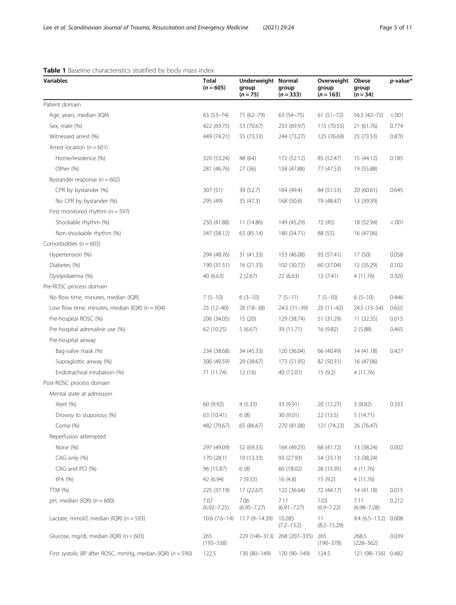| <b>Fable I</b> Dascillic Characteristics stratified by DOUY HRSS IHOCA<br>Variables | Total<br>$(n = 605)$    | Underweight Normal<br>group<br>$(n = 75)$ | group<br>$(n = 333)$        | Overweight Obese<br>group<br>$(n = 163)$ | group<br>$(n = 34)$     | p-value* |
|-------------------------------------------------------------------------------------|-------------------------|-------------------------------------------|-----------------------------|------------------------------------------|-------------------------|----------|
| Patient domain                                                                      |                         |                                           |                             |                                          |                         |          |
| Age, years, median (IQR)                                                            | $63(53 - 74)$           | 71 (62-79)                                | $63(54 - 75)$               | $61(51-72)$                              | 56.5 (42-72)            | < 0.001  |
| Sex, male (%)                                                                       | 422 (69.75)             | 53 (70.67)                                | 233 (69.97)                 | 115 (70.55)                              | 21 (61.76)              | 0.774    |
| Witnessed arrest (%)                                                                | 449 (74.21)             | 55 (73.33)                                | 244 (73.27)                 | 125 (76.69)                              | 25 (73.53)              | 0.870    |
| Arrest location ( $n = 601$ )                                                       |                         |                                           |                             |                                          |                         |          |
| Home/residence (%)                                                                  | 320 (53.24)             | 48 (64)                                   | 172 (52.12)                 | 85 (52.47)                               | 15 (44.12)              | 0.185    |
| Other (%)                                                                           | 281 (46.76)             | 27 (36)                                   | 158 (47.88)                 | 77 (47.53)                               | 19 (55.88)              |          |
| Bystander response ( $n = 602$ )                                                    |                         |                                           |                             |                                          |                         |          |
| CPR by bystander (%)                                                                | 307 (51)                | 39 (52.7)                                 | 164 (49.4)                  | 84 (51.53)                               | 20 (60.61)              | 0.645    |
| No CPR by bystander (%)                                                             | 295 (49)                | 35 (47.3)                                 | 168 (50.6)                  | 79 (48.47)                               | 13 (39.39)              |          |
| First monitored rhythm ( $n = 597$ )                                                |                         |                                           |                             |                                          |                         |          |
| Shockable rhythm (%)                                                                | 250 (41.88)             | 11 (14.86)                                | 149 (45.29)                 | 72 (45)                                  | 18 (52.94)              | < .001   |
| Non-shockable rhythm (%)                                                            | 347 (58.12)             | 63 (85.14)                                | 180 (54.71)                 | 88 (55)                                  | 16 (47.06)              |          |
| Comorbidities ( $n = 603$ )                                                         |                         |                                           |                             |                                          |                         |          |
| Hypertension (%)                                                                    | 294 (48.76)             | 31 (41.33)                                | 153 (46.08)                 | 93 (57.41)                               | 17(50)                  | 0.058    |
| Diabetes (%)                                                                        | 190 (31.51)             | 16 (21.33)                                | 102 (30.72)                 | 60 (37.04)                               | 12 (35.29)              | 0.102    |
| Dyslipidaemia (%)                                                                   | 40 (6.63)               | 2(2.67)                                   | 22 (6.63)                   | 12(7.41)                                 | 4(11.76)                | 0.320    |
| Pre-ROSC process domain                                                             |                         |                                           |                             |                                          |                         |          |
| No flow time, minutes, median (IQR)                                                 | $7(5-10)$               | $6(3-10)$                                 | $7(5-11)$                   | $7(5-10)$                                | $6(5-10)$               | 0.446    |
| Low flow time, minutes, median (IQR) ( $n = 604$ )                                  | $25(12-40)$             | 26 (18-38)                                | 24.5 (11-39)                | $25(11-42)$                              | 24.5 (15-54)            | 0.655    |
| Pre-hospital ROSC (%)                                                               | 206 (34.05)             | 15 (20)                                   | 129 (38.74)                 | 51 (31.29)                               | 11 (32.35)              | 0.015    |
| Pre-hospital adrenaline use (%)                                                     | 62 (10.25)              | 5(6.67)                                   | 39 (11.71)                  | 16 (9.82)                                | 2(5.88)                 | 0.465    |
| Pre-hospital airway                                                                 |                         |                                           |                             |                                          |                         |          |
| Bag-valve mask (%)                                                                  | 234 (38.68)             | 34 (45.33)                                | 120 (36.04)                 | 66 (40.49)                               | 14 (41.18)              | 0.427    |
| Supraglottic airway (%)                                                             | 300 (49.59)             | 29 (38.67)                                | 173 (51.95)                 | 82 (50.31)                               | 16 (47.06)              |          |
| Endotracheal intubation (%)                                                         | 71 (11.74)              | 12(16)                                    | 40 (12.01)                  | 15(9.2)                                  | 4 (11.76)               |          |
| Post-ROSC process domain                                                            |                         |                                           |                             |                                          |                         |          |
| Mental state at admission                                                           |                         |                                           |                             |                                          |                         |          |
| Alert (%)                                                                           | 60 (9.92)               | 4(5.33)                                   | 33 (9.91)                   | 20 (12.27)                               | 3(8.82)                 | 0.333    |
| Drowsy to stuporous (%)                                                             | 63 (10.41)              | 6(8)                                      | 30 (9.01)                   | 22 (13.5)                                | 5(14.71)                |          |
| Coma $(%)$                                                                          | 482 (79.67)             | 65 (86.67)                                | 270 (81.08)                 | 121 (74.23)                              | 26 (76.47)              |          |
| Reperfusion attempted                                                               |                         |                                           |                             |                                          |                         |          |
| None (%)                                                                            | 297 (49.09)             | 52 (69.33)                                | 164 (49.25)                 | 68 (41.72)                               | 13 (38.24)              | 0.002    |
| CAG only (%)                                                                        | 170(28.1)               | 10(13.33)                                 | 93 (27.93)                  | 54 (33.13)                               | 13 (38.24)              |          |
| CAG and PCI (%)                                                                     | 96 (15.87)              | 6(8)                                      | 60 (18.02)                  | 26 (15.95)                               | 4(11.76)                |          |
| tPA (%)                                                                             | 42 (6.94)               | 7(9.33)                                   | 16(4.8)                     | 15(9.2)                                  | 4(11.76)                |          |
| TTM (%)                                                                             | 225 (37.19)             | 17(22.67)                                 | 122 (36.64)                 | 72 (44.17)                               | 14 (41.18)              | 0.015    |
| pH, median (IQR) $(n = 600)$                                                        | 7.07<br>$(6.92 - 7.25)$ | 7.06<br>$(6.95 - 7.27)$                   | 7.11<br>$(6.91 - 7.27)$     | 7.03<br>$(6.9 - 7.22)$                   | 7.11<br>$(6.98 - 7.28)$ | 0.212    |
| Lactate, mmol/l, median (IQR) ( $n = 593$ )                                         | $10.6(7.6-14)$          | 11.7 (9-14.39)                            | 10.285<br>$(7.2 - 13.2)$    | 11<br>$(8.2 - 15.29)$                    | $9.4(6.5-13.2)$         | 0.008    |
| Glucose, mg/dl, median (IQR) ( $n = 603$ )                                          | 265<br>$(193 - 338)$    |                                           | 229 (146-313) 268 (207-335) | 265<br>$(190 - 378)$                     | 268.5<br>$(228 - 362)$  | 0.039    |
| First systolic BP after ROSC, mmHg, median (IQR) ( $n = 590$ )                      | 122.5                   | 130 (80-149)                              | 120 (90-149)                | 124.5                                    | 121 (98-156) 0.482      |          |

# <span id="page-4-0"></span>Table 1 Baseline characteristics stratified by body mass index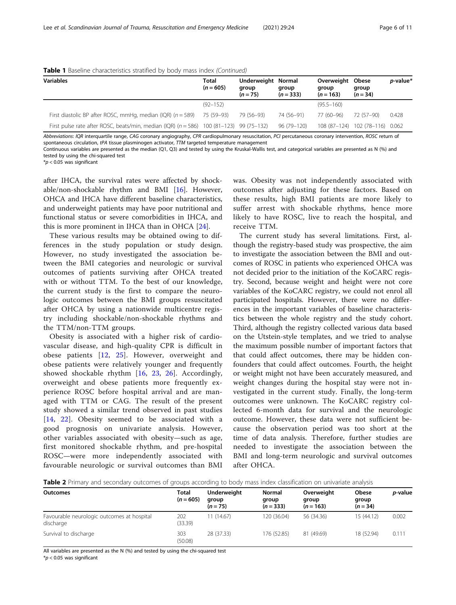| <b>Variables</b>                                                                          | Underweight Normal<br>Total<br>$(n = 605)$<br>group |            | group       | Overweight Obese<br>group | group                           | p-value* |
|-------------------------------------------------------------------------------------------|-----------------------------------------------------|------------|-------------|---------------------------|---------------------------------|----------|
|                                                                                           |                                                     | $(n = 75)$ | $(n = 333)$ | $(n = 163)$               | $(n = 34)$                      |          |
|                                                                                           | $(92 - 152)$                                        |            |             | $(95.5 - 160)$            |                                 |          |
| First diastolic BP after ROSC, mmHg, median (IQR) ( $n = 589$ )                           | 75 (59–93)                                          | 79 (56–93) | 74 (56-91)  | 77 (60–96)                | 72 (57–90)                      | 0.428    |
| First pulse rate after ROSC, beats/min, median (IQR) $(n = 586)$ 100 (81-123) 99 (75-132) |                                                     |            | 96 (79–120) |                           | 108 (87-124) 102 (78-116) 0.062 |          |

<span id="page-5-0"></span>

|  | Table 1 Baseline characteristics stratified by body mass index (Continued) |  |  |  |
|--|----------------------------------------------------------------------------|--|--|--|
|  |                                                                            |  |  |  |

Abbreviations: IQR interquartile range, CAG coronary angiography, CPR cardiopulmonary resuscitation, PCI percutaneous coronary intervention, ROSC return of spontaneous circulation, tPA tissue plasminogen activator, TTM targeted temperature management

Continuous variables are presented as the median (Q1, Q3) and tested by using the Kruskal-Wallis test, and categorical variables are presented as N (%) and tested by using the chi-squared test

 $*p$  < 0.05 was significant

after IHCA, the survival rates were affected by shockable/non-shockable rhythm and BMI [[16\]](#page-10-0). However, OHCA and IHCA have different baseline characteristics, and underweight patients may have poor nutritional and functional status or severe comorbidities in IHCA, and this is more prominent in IHCA than in OHCA [[24](#page-10-0)].

These various results may be obtained owing to differences in the study population or study design. However, no study investigated the association between the BMI categories and neurologic or survival outcomes of patients surviving after OHCA treated with or without TTM. To the best of our knowledge, the current study is the first to compare the neurologic outcomes between the BMI groups resuscitated after OHCA by using a nationwide multicentre registry including shockable/non-shockable rhythms and the TTM/non-TTM groups.

Obesity is associated with a higher risk of cardiovascular disease, and high-quality CPR is difficult in obese patients [[12,](#page-10-0) [25](#page-10-0)]. However, overweight and obese patients were relatively younger and frequently showed shockable rhythm [\[16](#page-10-0), [23](#page-10-0), [26](#page-10-0)]. Accordingly, overweight and obese patients more frequently experience ROSC before hospital arrival and are managed with TTM or CAG. The result of the present study showed a similar trend observed in past studies [[14](#page-10-0), [22](#page-10-0)]. Obesity seemed to be associated with a good prognosis on univariate analysis. However, other variables associated with obesity—such as age, first monitored shockable rhythm, and pre-hospital ROSC—were more independently associated with favourable neurologic or survival outcomes than BMI

was. Obesity was not independently associated with outcomes after adjusting for these factors. Based on these results, high BMI patients are more likely to suffer arrest with shockable rhythms, hence more likely to have ROSC, live to reach the hospital, and receive TTM.

The current study has several limitations. First, although the registry-based study was prospective, the aim to investigate the association between the BMI and outcomes of ROSC in patients who experienced OHCA was not decided prior to the initiation of the KoCARC registry. Second, because weight and height were not core variables of the KoCARC registry, we could not enrol all participated hospitals. However, there were no differences in the important variables of baseline characteristics between the whole registry and the study cohort. Third, although the registry collected various data based on the Utstein-style templates, and we tried to analyse the maximum possible number of important factors that that could affect outcomes, there may be hidden confounders that could affect outcomes. Fourth, the height or weight might not have been accurately measured, and weight changes during the hospital stay were not investigated in the current study. Finally, the long-term outcomes were unknown. The KoCARC registry collected 6-month data for survival and the neurologic outcome. However, these data were not sufficient because the observation period was too short at the time of data analysis. Therefore, further studies are needed to investigate the association between the BMI and long-term neurologic and survival outcomes after OHCA.

Table 2 Primary and secondary outcomes of groups according to body mass index classification on univariate analysis

| <b>Outcomes</b>                                         | <b>Total</b><br>$(n = 605)$ | <b>Underweight</b><br>group<br>$(n = 75)$ | <b>Normal</b><br>group<br>$(n = 333)$ | Overweight<br>group<br>$(n = 163)$ | <b>Obese</b><br>group<br>$(n = 34)$ | <i>p</i> -value |
|---------------------------------------------------------|-----------------------------|-------------------------------------------|---------------------------------------|------------------------------------|-------------------------------------|-----------------|
| Favourable neurologic outcomes at hospital<br>discharge | 202<br>(33.39)              | 1 (14.67)                                 | 120 (36.04)                           | 56 (34.36)                         | 15(44.12)                           | 0.002           |
| Survival to discharge                                   | 303<br>(50.08)              | 28 (37.33)                                | 176 (52.85)                           | 81 (49.69)                         | 18 (52.94)                          | 0.111           |

All variables are presented as the N (%) and tested by using the chi-squared test  $*p$  < 0.05 was significant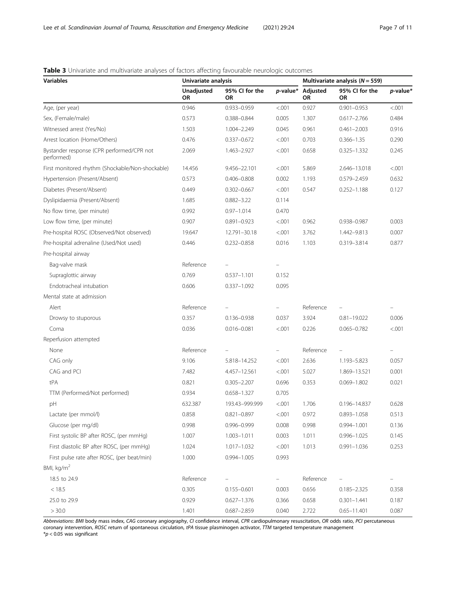# Variables Univariate analysis Multivariate analysis (N = 559) Unadjusted OR 95% CI for the OR p-value\* Adjusted OR 95% CI for the OR p-value\* Age, (per year) 0.946 0.933–0.959 <.001 0.927 0.901–0.953 <.001 Sex, (Female/male) 0.573 0.388–0.844 0.005 1.307 0.617–2.766 0.484 Witnessed arrest (Yes/No)  $1.503$   $1.004-2.249$  0.045 0.961 0.461-2.003 0.916 Arrest location (Home/Others) 0.476 0.337–0.672 <.001 0.703 0.366–1.35 0.290 Bystander response (CPR performed/CPR not performed) 2.069 1.463–2.927 <.001 0.658 0.325–1.332 0.245 First monitored rhythm (Shockable/Non-shockable) 14.456 9.456–22.101 <.001 5.869 2.646–13.018 <.001 Hypertension (Present/Absent) 0.573 0.406–0.808 0.002 1.193 0.579–2.459 0.632 Diabetes (Present/Absent) 0.449 0.302–0.667 <.001 0.547 0.252–1.188 0.127 Dyslipidaemia (Present/Absent) 1.685 0.882–3.22 0.114 No flow time, (per minute) 0.992 0.97–1.014 0.470 Low flow time, (per minute) 0.907 0.891–0.923 <.001 0.962 0.938–0.987 0.003 Pre-hospital ROSC (Observed/Not observed) 19.647 12.791–30.18 <.001 3.762 1.442–9.813 0.007 Pre-hospital adrenaline (Used/Not used) 0.446 0.232–0.858 0.016 1.103 0.319–3.814 0.877 Pre-hospital airway Bag-valve mask and the extension of the Reference Supraglottic airway 1.52 and 1.52 Endotracheal intubation 0.606 0.337–1.092 0.095 Mental state at admission Alert Reference – – Reference – – Drowsy to stuporous 0.357 0.136–0.938 0.037 3.924 0.81–19.022 0.006 Coma 0.036 0.016–0.081 <.001 0.226 0.065–0.782 <.001 Reperfusion attempted None Reference – – Reference – – CAG only 9.106 5.818–14.252 <.001 2.636 1.193–5.823 0.057 CAG and PCI 7.482 4.457–12.561 <.001 5.027 1.869–13.521 0.001 tPA 0.821 0.305–2.207 0.696 0.353 0.069–1.802 0.021 TTM (Performed/Not performed) 0.934 0.658–1.327 0.705 pH 632.387 193.43–999.999 <.001 1.706 0.196–14.837 0.628 Lactate (per mmol/l) 0.858 0.821–0.897 <.001 0.972 0.893–1.058 0.513 Glucose (per mg/dl) **0.998** 0.996–0.999 0.008 0.998 0.998 0.994–1.001 0.136 First systolic BP after ROSC, (per mmHg) 1.007 1.003–1.011 0.003 1.011 0.996–1.025 0.145 First diastolic BP after ROSC, (per mmHg) 1.024 1.017–1.032 <.001 1.013 0.991–1.036 0.253 First pulse rate after ROSC, (per beat/min) 1.000 0.994-1.005 0.993 BMI, kg/m2 18.5 to 24.9 Reference – – Reference – – < 18.5 0.305 0.155–0.601 0.003 0.656 0.185–2.325 0.358 25.0 to 29.9 0.929 0.627–1.376 0.366 0.658 0.301–1.441 0.187 > 30.0 1.401 0.687–2.859 0.040 2.722 0.65–11.401 0.087

# <span id="page-6-0"></span>Table 3 Univariate and multivariate analyses of factors affecting favourable neurologic outcomes

Abbreviations: BMI body mass index, CAG coronary angiography, CI confidence interval, CPR cardiopulmonary resuscitation, OR odds ratio, PCI percutaneous coronary intervention, ROSC return of spontaneous circulation, tPA tissue plasminogen activator, TTM targeted temperature management  $*p$  < 0.05 was significant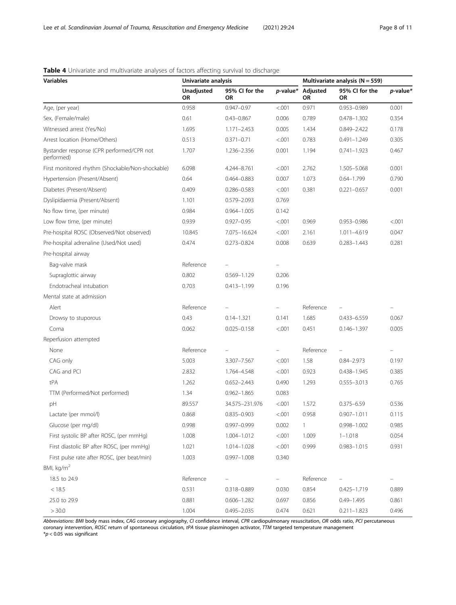| <b>Variables</b>                                        | Univariate analysis |                      | Multivariate analysis ( $N = 559$ ) |                |                             |          |
|---------------------------------------------------------|---------------------|----------------------|-------------------------------------|----------------|-----------------------------|----------|
|                                                         | Unadjusted<br>OR    | 95% CI for the<br>ΟR | p-value*                            | Adjusted<br>ΟR | 95% CI for the<br><b>OR</b> | p-value* |
| Age, (per year)                                         | 0.958               | $0.947 - 0.97$       | < .001                              | 0.971          | 0.953-0.989                 | 0.001    |
| Sex, (Female/male)                                      | 0.61                | $0.43 - 0.867$       | 0.006                               | 0.789          | 0.478-1.302                 | 0.354    |
| Witnessed arrest (Yes/No)                               | 1.695               | $1.171 - 2.453$      | 0.005                               | 1.434          | 0.849-2.422                 | 0.178    |
| Arrest location (Home/Others)                           | 0.513               | $0.371 - 0.71$       | < .001                              | 0.783          | $0.491 - 1.249$             | 0.305    |
| Bystander response (CPR performed/CPR not<br>performed) | 1.707               | 1.236-2.356          | 0.001                               | 1.194          | $0.741 - 1.923$             | 0.467    |
| First monitored rhythm (Shockable/Non-shockable)        | 6.098               | 4.244-8.761          | < .001                              | 2.762          | 1.505-5.068                 | 0.001    |
| Hypertension (Present/Absent)                           | 0.64                | $0.464 - 0.883$      | 0.007                               | 1.073          | $0.64 - 1.799$              | 0.790    |
| Diabetes (Present/Absent)                               | 0.409               | 0.286-0.583          | < .001                              | 0.381          | $0.221 - 0.657$             | 0.001    |
| Dyslipidaemia (Present/Absent)                          | 1.101               | 0.579-2.093          | 0.769                               |                |                             |          |
| No flow time, (per minute)                              | 0.984               | $0.964 - 1.005$      | 0.142                               |                |                             |          |
| Low flow time, (per minute)                             | 0.939               | $0.927 - 0.95$       | < .001                              | 0.969          | 0.953-0.986                 | < .001   |
| Pre-hospital ROSC (Observed/Not observed)               | 10.845              | 7.075-16.624         | < .001                              | 2.161          | 1.011-4.619                 | 0.047    |
| Pre-hospital adrenaline (Used/Not used)                 | 0.474               | 0.273-0.824          | 0.008                               | 0.639          | $0.283 - 1.443$             | 0.281    |
| Pre-hospital airway                                     |                     |                      |                                     |                |                             |          |
| Bag-valve mask                                          | Reference           |                      |                                     |                |                             |          |
| Supraglottic airway                                     | 0.802               | $0.569 - 1.129$      | 0.206                               |                |                             |          |
| Endotracheal intubation                                 | 0.703               | 0.413-1.199          | 0.196                               |                |                             |          |
| Mental state at admission                               |                     |                      |                                     |                |                             |          |
| Alert                                                   | Reference           |                      |                                     | Reference      |                             |          |
| Drowsy to stuporous                                     | 0.43                | $0.14 - 1.321$       | 0.141                               | 1.685          | 0.433-6.559                 | 0.067    |
| Coma                                                    | 0.062               | $0.025 - 0.158$      | < .001                              | 0.451          | $0.146 - 1.397$             | 0.005    |
| Reperfusion attempted                                   |                     |                      |                                     |                |                             |          |
| None                                                    | Reference           |                      |                                     | Reference      |                             |          |
| CAG only                                                | 5.003               | 3.307-7.567          | < .001                              | 1.58           | $0.84 - 2.973$              | 0.197    |
| CAG and PCI                                             | 2.832               | 1.764-4.548          | < .001                              | 0.923          | 0.438-1.945                 | 0.385    |
| tPA                                                     | 1.262               | $0.652 - 2.443$      | 0.490                               | 1.293          | $0.555 - 3.013$             | 0.765    |
| TTM (Performed/Not performed)                           | 1.34                | $0.962 - 1.865$      | 0.083                               |                |                             |          |
| рH                                                      | 89.557              | 34.575-231.976       | < .001                              | 1.572          | $0.375 - 6.59$              | 0.536    |
| Lactate (per mmol/l)                                    | 0.868               | $0.835 - 0.903$      | < .001                              | 0.958          | $0.907 - 1.011$             | 0.115    |
| Glucose (per mg/dl)                                     | 0.998               | 0.997-0.999          | 0.002                               | $\mathbf{1}$   | 0.998-1.002                 | 0.985    |
| First systolic BP after ROSC, (per mmHg)                | 1.008               | 1.004-1.012          | < .001                              | 1.009          | $1 - 1.018$                 | 0.054    |
| First diastolic BP after ROSC, (per mmHg)               | 1.021               | 1.014-1.028          | < .001                              | 0.999          | $0.983 - 1.015$             | 0.931    |
| First pulse rate after ROSC, (per beat/min)             | 1.003               | $0.997 - 1.008$      | 0.340                               |                |                             |          |
| BMI, $kg/m2$                                            |                     |                      |                                     |                |                             |          |
| 18.5 to 24.9                                            | Reference           |                      | $\overline{\phantom{0}}$            | Reference      |                             |          |
| < 18.5                                                  | 0.531               | 0.318-0.889          | 0.030                               | 0.854          | 0.425-1.719                 | 0.889    |
| 25.0 to 29.9                                            | 0.881               | $0.606 - 1.282$      | 0.697                               | 0.856          | $0.49 - 1.495$              | 0.861    |
| > 30.0                                                  | 1.004               | $0.495 - 2.035$      | 0.474                               | 0.621          | $0.211 - 1.823$             | 0.496    |

# <span id="page-7-0"></span>Table 4 Univariate and multivariate analyses of factors affecting survival to discharge

Abbreviations: BMI body mass index, CAG coronary angiography, CI confidence interval, CPR cardiopulmonary resuscitation, OR odds ratio, PCI percutaneous coronary intervention, ROSC return of spontaneous circulation, tPA tissue plasminogen activator, TTM targeted temperature management  $*p$  < 0.05 was significant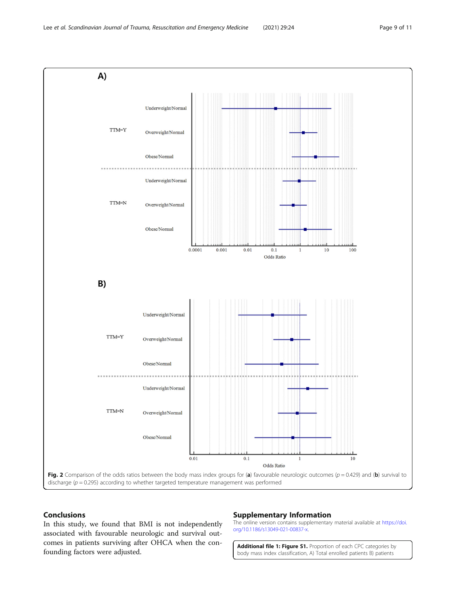<span id="page-8-0"></span>

# Conclusions

In this study, we found that BMI is not independently associated with favourable neurologic and survival outcomes in patients surviving after OHCA when the confounding factors were adjusted.

# Supplementary Information

The online version contains supplementary material available at [https://doi.](https://doi.org/10.1186/s13049-021-00837-x) [org/10.1186/s13049-021-00837-x](https://doi.org/10.1186/s13049-021-00837-x).

Additional file 1: Figure S1. Proportion of each CPC categories by body mass index classification, A) Total enrolled patients B) patients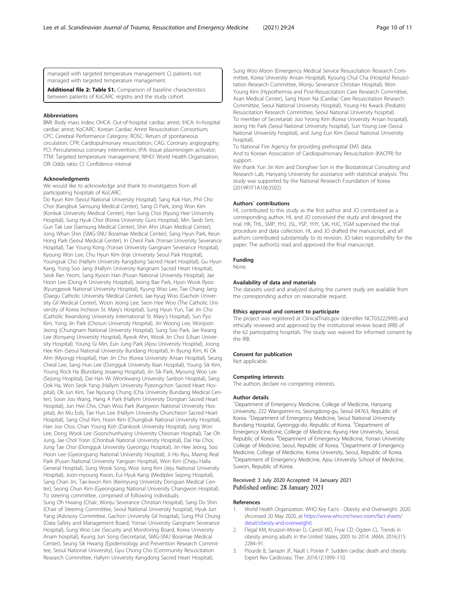<span id="page-9-0"></span>managed with targeted temperature management C) patients not managed with targeted temperature management.

Additional file 2: Table S1. Comparison of baseline characteristics between patients of KoCARC registry and the study cohort.

#### **Abbreviations**

BMI: Body mass index; OHCA: Out-of-hospital cardiac arrest; IHCA: In-hospital cardiac arrest; KoCARC: Korean Cardiac Arrest Resuscitation Consortium; CPC: Cerebral Performance Category; ROSC: Return of spontaneous circulation; CPR: Cardiopulmonary resuscitation; CAG: Coronary angiography; PCI: Percutaneous coronary intervention; tPA: tissue plasminogen activator; TTM: Targeted temperature management; WHO: World Health Organization; OR: Odds ratio; CI: Confidence interval

# Acknowledgments

We would like to acknowledge and thank to investigators from all participating hospitals of KoCARC:

Do Kyun Kim (Seoul National University Hospital), Sang Kuk Han, Phil Cho Choi (Kangbuk Samsung Medical Center), Sang O Park, Jong Won Kim (Konkuk University Medical Center), Han Sung Choi (Kyung Hee University Hospital), Sung Hyuk Choi (Korea University Guro Hospital), Min Seob Sim, Gun Tak Lee (Samsung Medical Center), Shin Ahn (Asan Medical Center), Jong Whan Shin (SMG-SNU Boramae Medical Center), Sang Hyun Park, Keun Hong Park (Seoul Medical Center), In Cheol Park (Yonsei University Severance Hospital), Tae Young Kong (Yonsei University Gangnam Severance Hospital), Kyoung Won Lee, Chu Hyun Kim (Inje University Seoul Paik Hospital), Youngsuk Cho (Hallym University Kangdong Sacred Heart Hospital), Gu Hyun Kang, Yong Soo Jang (Hallym University Kangnam Sacred Heart Hospital), Seok Ran Yeom, Sang Kyoon Han (Pusan National University Hospital), Jae Hoon Lee (Dong-A University Hospital), Jeong Bae Park, Hyun Wook Ryoo (Kyungpook National University Hospital), Kyung Woo Lee, Tae Chang Jang (Daegu Catholic University Medical Center), Jae-hyug Woo (Gachon University Gil Medical Center), Woon Jeong Lee, Seon Hee Woo (The Catholic University of Korea Incheon St. Mary's Hospital), Sung Hyun Yun, Tae Jin Cho (Catholic Kwandong University International St. Mary's Hospital), Sun Pyo Kim, Yong Jin Park (Chosun University Hospital), Jin Woong Lee, Wonjoon Jeong (Chungnam National University Hospital), Sung Soo Park, Jae Kwang Lee (Konyang University Hospital), Ryeok Ahn, Wook Jin Choi (Ulsan University Hospital), Young Gi Min, Eun Jung Park (Ajou University Hospital), Joong Hee Kim (Seoul National University Bundang Hospital), In Byung Kim, Ki Ok Ahn (Myongji Hospital), Han Jin Cho (Korea University Ansan Hospital), Seung Cheol Lee, Sang Hun Lee (Dongguk University Ilsan Hospital), Young Sik Kim, Young Rock Ha (Bundang Jesaeng Hospital), Jin Sik Park, Myoung Woo Lee (Sejong Hospital), Dai Han Wi (Wonkwang University Sanbon Hospital), Sang Ook Ha, Won Seok Yang (Hallym University Pyeongchon Sacred Heart Hospital), Ok Jun Kim, Tae Nyoung Chung (Cha University Bundang Medical Center), Soon Joo Wang, Hang A Park (Hallym University Dongtan Sacred Heart Hospital), Jun Hwi Cho, Chan Woo Park (Kangwon National University Hospital), An Mu Eob, Tae Hun Lee (Hallym University Chuncheon Sacred Heart Hospital), Sang Chul Kim, Hoon Kim (Chungbuk National University Hospital), Han Joo Choi, Chan Young Koh (Dankook University Hospital), Jung Won Lee, Dong Wook Lee (Soonchunhyang University Cheonan Hospital), Tae Oh Jung, Jae Chol Yoon (Chonbuk National University Hospital), Dai Hai Choi, Jung Tae Choi (Dongguk University Gyeongju Hospital), Jin Hee Jeong, Soo Hoon Lee (Gyeongsang National University Hospital), Ji Ho Ryu, Maeng Real Park (Pusan National University Yangsan Hospital), Won Kim (Cheju Halla General Hospital), Sung Wook Song, Woo Jung Kim (Jeju National University Hospital), Joon-myoung Kwon, Eui Hyuk Kang (Mediplex Sejong Hospital), Sang Chan Jin, Tae-kwon Kim (Keimyung University Dongsan Medical Center), Seong Chun Kim (Gyeongsang National University Changwon Hospital). To steering committee, comprised of following individuals: Sung Oh Hwang (Chair, Wonju Severance Christian Hospital), Sang Do Shin (Chair of Steering Committee, Seoul National University hospital), Hyuk Jun Yang (Advisory Committee, Gachon University Gil hospital), Sung Phil Chung

(Data Safety and Management Board, Yonsei University Gangnam Severance Hospital), Sung Woo Lee (Security and Monitoring Board, Korea University Anam hospital), Kyung Jun Song (Secretariat, SMG-SNU Boramae Medical Center), Seung Sik Hwang (Epidemiology and Prevention Research Committee, Seoul National University), Gyu Chong Cho (Community Resuscitation Research Committee, Hallym University Kangdong Sacred Heart Hospital),

Sung Woo Moon (Emergency Medical Service Resuscitation Research Committee, Korea University Ansan Hospital), Kyoung Chul Cha (Hospital Resuscitation Research Committee, Wonju Severance Christian Hospital), Won Young Kim (Hypothermia and Post-Resuscitation Care Research Committee, Asan Medical Center), Sang Hoon Na (Cardiac Care Resuscitation Research Committee, Seoul National University Hospital), Young Ho Kwack (Pediatric Resuscitation Research Committee, Seoul National University hospital). To member of Secretariat: Joo Yeong Kim (Korea University Ansan hospital), Jeong Ho Park (Seoul National University hospital), Sun Young Lee (Seoul National University hospital), and Jung Eun Kim (Seoul National University hospital).

To National Fire Agency for providing prehospital EMS data. And to Korean Association of Cardiopulmonary Resuscitation (KACPR) for support.

We thank Yun Jin Kim and Donghee Son in the Biostatistical Consulting and Research Lab, Hanyang University for assistance with statistical analysis. This study was supported by the National Research Foundation of Korea (2019R1F1A1063502).

# Authors` contributions

HL contributed to this study as the first author and JO contributed as a corresponding author. HL and JO conceived the study and designed the trial. HK, THL, SMP, YHJ, JSL, YSP, YHY, SJK, HJC, YGM supervised the trial procedure and data collection. HL and JO drafted the manuscript, and all authors contributed substantially to its revision. JO takes responsibility for the paper. The author(s) read and approved the final manuscript.

# Funding

None.

# Availability of data and materials

The datasets used and analyzed during the current study are available from the corresponding author on reasonable request.

#### Ethics approval and consent to participate

The project was registered at ClinicalTrials.gov (identifier NCT03222999) and ethically reviewed and approved by the institutional review board (IRB) of the 62 participating hospitals. The study was waived for informed consent by the IRB.

# Consent for publication

# Not applicable.

#### Competing interests

The authors declare no competing interests.

#### Author details

<sup>1</sup>Department of Emergency Medicine, College of Medicine, Hanyang University, 222 Wangsimni-ro, Seongdong-gu, Seoul 04763, Republic of Korea. <sup>2</sup> Department of Emergency Medicine, Seoul National University Bundang Hospital, Gyeonggi-do, Republic of Korea. <sup>3</sup>Department of Emergency Medicine, College of Medicine, Kyung Hee University, Seoul, Republic of Korea. <sup>4</sup> Department of Emergency Medicine, Yonsei University College of Medicine, Seoul, Republic of Korea. <sup>5</sup>Department of Emergency Medicine, College of Medicine, Korea University, Seoul, Republic of Korea. 6 Department of Emergency Medicine, Ajou University School of Medicine, Suwon, Republic of Korea.

# Received: 3 July 2020 Accepted: 14 January 2021 Published online: 28 January 2021

#### References

- 1. World Health Organization. WHO Key Facts Obesity and Overweight. 2020. (Accessed 20 May 2020, at [https://www.who.int/news-room/fact-sheets/](https://www.who.int/news-room/fact-sheets/detail/obesity-and-overweight) [detail/obesity-and-overweight](https://www.who.int/news-room/fact-sheets/detail/obesity-and-overweight)).
- 2. Flegal KM, Kruszon-Moran D, Carroll MD, Fryar CD, Ogden CL. Trends in obesity among adults in the United States, 2005 to 2014. JAMA. 2016;315: 2284–91.
- 3. Plourde B, Sarrazin JF, Nault I, Poirier P. Sudden cardiac death and obesity. Expert Rev Cardiovasc Ther. 2014;12:1099–110.